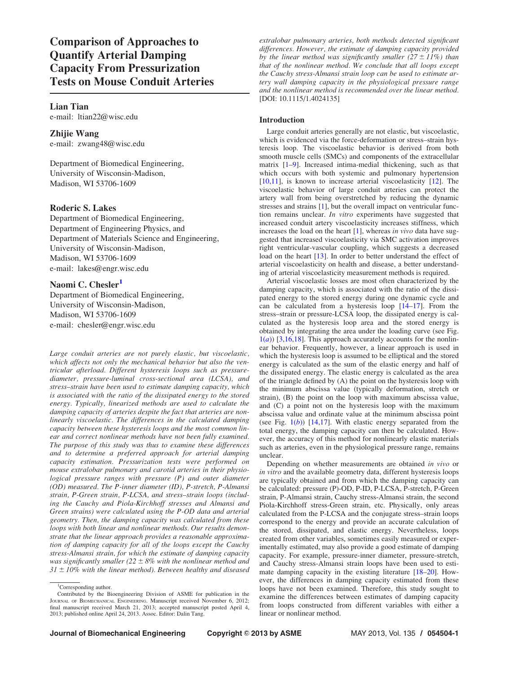Comparison of Approaches to Quantify Arterial Damping Capacity From Pressurization Tests on Mouse Conduit Arteries

## Lian Tian

e-mail: ltian22@wisc.edu

Zhijie Wang e-mail: zwang48@wisc.edu

Department of Biomedical Engineering, University of Wisconsin-Madison, Madison, WI 53706-1609

# Roderic S. Lakes

Department of Biomedical Engineering, Department of Engineering Physics, and Department of Materials Science and Engineering, University of Wisconsin-Madison, Madison, WI 53706-1609 e-mail: lakes@engr.wisc.edu

# Naomi C. Chesler<sup>1</sup>

Department of Biomedical Engineering, University of Wisconsin-Madison, Madison, WI 53706-1609 e-mail: chesler@engr.wisc.edu

Large conduit arteries are not purely elastic, but viscoelastic, which affects not only the mechanical behavior but also the ventricular afterload. Different hysteresis loops such as pressurediameter, pressure-luminal cross-sectional area (LCSA), and stress–strain have been used to estimate damping capacity, which is associated with the ratio of the dissipated energy to the stored energy. Typically, linearized methods are used to calculate the damping capacity of arteries despite the fact that arteries are nonlinearly viscoelastic. The differences in the calculated damping capacity between these hysteresis loops and the most common linear and correct nonlinear methods have not been fully examined. The purpose of this study was thus to examine these differences and to determine a preferred approach for arterial damping capacity estimation. Pressurization tests were performed on mouse extralobar pulmonary and carotid arteries in their physiological pressure ranges with pressure (P) and outer diameter (OD) measured. The P-inner diameter (ID), P-stretch, P-Almansi strain, P-Green strain, P-LCSA, and stress–strain loops (including the Cauchy and Piola-Kirchhoff stresses and Almansi and Green strains) were calculated using the P-OD data and arterial geometry. Then, the damping capacity was calculated from these loops with both linear and nonlinear methods. Our results demonstrate that the linear approach provides a reasonable approximation of damping capacity for all of the loops except the Cauchy stress-Almansi strain, for which the estimate of damping capacity was significantly smaller (22  $\pm$  8% with the nonlinear method and  $31 \pm 10\%$  with the linear method). Between healthy and diseased

extralobar pulmonary arteries, both methods detected significant differences. However, the estimate of damping capacity provided by the linear method was significantly smaller ( $27 \pm 11\%$ ) than that of the nonlinear method. We conclude that all loops except the Cauchy stress-Almansi strain loop can be used to estimate artery wall damping capacity in the physiological pressure range and the nonlinear method is recommended over the linear method. [DOI: 10.1115/1.4024135]

## Introduction

Large conduit arteries generally are not elastic, but viscoelastic, which is evidenced via the force-deformation or stress–strain hysteresis loop. The viscoelastic behavior is derived from both smooth muscle cells (SMCs) and components of the extracellular matrix [\[1–9\]](#page-5-0). Increased intima-medial thickening, such as that which occurs with both systemic and pulmonary hypertension [[10,11](#page-5-0)], is known to increase arterial viscoelasticity [\[12](#page-5-0)]. The viscoelastic behavior of large conduit arteries can protect the artery wall from being overstretched by reducing the dynamic stresses and strains [\[1\]](#page-5-0), but the overall impact on ventricular function remains unclear. In vitro experiments have suggested that increased conduit artery viscoelasticity increases stiffness, which increases the load on the heart  $[1]$  $[1]$  $[1]$ , whereas in vivo data have suggested that increased viscoelasticity via SMC activation improves right ventricular-vascular coupling, which suggests a decreased load on the heart [[13\]](#page-5-0). In order to better understand the effect of arterial viscoelasticity on health and disease, a better understanding of arterial viscoelasticity measurement methods is required.

Arterial viscoelastic losses are most often characterized by the damping capacity, which is associated with the ratio of the dissipated energy to the stored energy during one dynamic cycle and can be calculated from a hysteresis loop [\[14](#page-5-0)–[17\]](#page-5-0). From the stress–strain or pressure-LCSA loop, the dissipated energy is calculated as the hysteresis loop area and the stored energy is obtained by integrating the area under the loading curve (see Fig.  $1(a)$  $1(a)$  [[3,16](#page-5-0),[18\]](#page-5-0). This approach accurately accounts for the nonlinear behavior. Frequently, however, a linear approach is used in which the hysteresis loop is assumed to be elliptical and the stored energy is calculated as the sum of the elastic energy and half of the dissipated energy. The elastic energy is calculated as the area of the triangle defined by (A) the point on the hysteresis loop with the minimum abscissa value (typically deformation, stretch or strain), (B) the point on the loop with maximum abscissa value, and (C) a point not on the hysteresis loop with the maximum abscissa value and ordinate value at the minimum abscissa point (see Fig.  $1(b)$  $1(b)$ ) [[14,17](#page-5-0)]. With elastic energy separated from the total energy, the damping capacity can then be calculated. However, the accuracy of this method for nonlinearly elastic materials such as arteries, even in the physiological pressure range, remains unclear.

Depending on whether measurements are obtained in vivo or in vitro and the available geometry data, different hysteresis loops are typically obtained and from which the damping capacity can be calculated: pressure (P)-OD, P-ID, P-LCSA, P-stretch, P-Green strain, P-Almansi strain, Cauchy stress-Almansi strain, the second Piola-Kirchhoff stress-Green strain, etc. Physically, only areas calculated from the P-LCSA and the conjugate stress–strain loops correspond to the energy and provide an accurate calculation of the stored, dissipated, and elastic energy. Nevertheless, loops created from other variables, sometimes easily measured or experimentally estimated, may also provide a good estimate of damping capacity. For example, pressure-inner diameter, pressure-stretch, and Cauchy stress-Almansi strain loops have been used to estimate damping capacity in the existing literature [\[18](#page-5-0)–[20\]](#page-5-0). However, the differences in damping capacity estimated from these loops have not been examined. Therefore, this study sought to examine the differences between estimates of damping capacity from loops constructed from different variables with either a linear or nonlinear method.

<sup>&</sup>lt;sup>1</sup>Corresponding author. Contributed by the Bioengineering Division of ASME for publication in the JOURNAL OF BIOMECHANICAL ENGINEERING. Manuscript received November 6, 2012; final manuscript received March 21, 2013; accepted manuscript posted April 4, 2013; published online April 24, 2013. Assoc. Editor: Dalin Tang.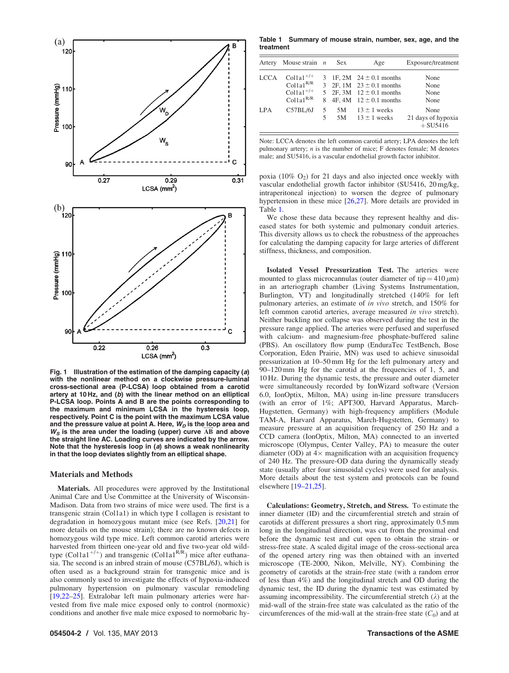<span id="page-1-0"></span>

Fig. 1 Illustration of the estimation of the damping capacity (a) with the nonlinear method on a clockwise pressure-luminal cross-sectional area (P-LCSA) loop obtained from a carotid artery at 10 Hz, and (b) with the linear method on an elliptical P-LCSA loop. Points A and B are the points corresponding to the maximum and minimum LCSA in the hysteresis loop, respectively. Point C is the point with the maximum LCSA value and the pressure value at point A. Here,  $W_D$  is the loop area and and the pressure value at point A. Here,  $W_B$  is the loop area and  $W_S$  is the area under the loading (upper) curve  $\overrightarrow{AB}$  and above the straight line AC. Loading curves are indicated by the arrow. Note that the hysteresis loop in (a) shows a weak nonlinearity in that the loop deviates slightly from an elliptical shape.

## Materials and Methods

Materials. All procedures were approved by the Institutional Animal Care and Use Committee at the University of Wisconsin-Madison. Data from two strains of mice were used. The first is a transgenic strain (Col1a1) in which type I collagen is resistant to degradation in homozygous mutant mice (see Refs. [\[20](#page-5-0),[21\]](#page-5-0) for more details on the mouse strain); there are no known defects in homozygous wild type mice. Left common carotid arteries were harvested from thirteen one-year old and five two-year old wildtype (Col1a1<sup>+/+</sup>) and transgenic (Col1a1<sup>R/R</sup>) mice after euthanasia. The second is an inbred strain of mouse (C57BL/6J), which is often used as a background strain for transgenic mice and is also commonly used to investigate the effects of hypoxia-induced pulmonary hypertension on pulmonary vascular remodeling [[19,22](#page-5-0)–[25\]](#page-5-0). Extralobar left main pulmonary arteries were harvested from five male mice exposed only to control (normoxic) conditions and another five male mice exposed to normobaric hy-

Table 1 Summary of mouse strain, number, sex, age, and the treatment

| Artery      | Mouse strain $n$                                                                   |        | <b>Sex</b> | Age                                                                                                                          | Exposure/treatment                       |
|-------------|------------------------------------------------------------------------------------|--------|------------|------------------------------------------------------------------------------------------------------------------------------|------------------------------------------|
| <b>LCCA</b> | $\text{Collal}^{+/+}$<br>$Col1a1^{R/R}$<br>$Colla1^{+/+}$<br>Collal <sup>R/R</sup> |        |            | 3 1F, 2M $24 \pm 0.1$ months<br>3 2F, 1M $23 \pm 0.1$ months<br>5 2F, 3M $12 \pm 0.1$ months<br>8 4F, 4M $12 \pm 0.1$ months | None<br>None<br>None<br>None             |
| LPA         | C57BL/6J                                                                           | 5<br>5 | 5M<br>5M   | $13 \pm 1$ weeks<br>$13 \pm 1$ weeks                                                                                         | None<br>21 days of hypoxia<br>$+$ SU5416 |

Note: LCCA denotes the left common carotid artery; LPA denotes the left pulmonary artery;  $n$  is the number of mice; F denotes female; M denotes male; and SU5416, is a vascular endothelial growth factor inhibitor.

poxia (10%  $O_2$ ) for 21 days and also injected once weekly with vascular endothelial growth factor inhibitor (SU5416, 20 mg/kg, intraperitoneal injection) to worsen the degree of pulmonary hypertension in these mice [\[26](#page-5-0),[27\]](#page-5-0). More details are provided in Table 1.

We chose these data because they represent healthy and diseased states for both systemic and pulmonary conduit arteries. This diversity allows us to check the robustness of the approaches for calculating the damping capacity for large arteries of different stiffness, thickness, and composition.

Isolated Vessel Pressurization Test. The arteries were mounted to glass microcannulas (outer diameter of tip =  $410 \mu m$ ) in an arteriograph chamber (Living Systems Instrumentation, Burlington, VT) and longitudinally stretched (140% for left pulmonary arteries, an estimate of in vivo stretch, and 150% for left common carotid arteries, average measured in vivo stretch). Neither buckling nor collapse was observed during the test in the pressure range applied. The arteries were perfused and superfused with calcium- and magnesium-free phosphate-buffered saline (PBS). An oscillatory flow pump (EnduraTec TestBench, Bose Corporation, Eden Prairie, MN) was used to achieve sinusoidal pressurization at 10–50 mm Hg for the left pulmonary artery and 90–120 mm Hg for the carotid at the frequencies of 1, 5, and 10 Hz. During the dynamic tests, the pressure and outer diameter were simultaneously recorded by IonWizard software (Version 6.0, IonOptix, Milton, MA) using in-line pressure transducers (with an error of 1%; APT300, Harvard Apparatus, March-Hugstetten, Germany) with high-frequency amplifiers (Module TAM-A, Harvard Apparatus, March-Hugstetten, Germany) to measure pressure at an acquisition frequency of 250 Hz and a CCD camera (IonOptix, Milton, MA) connected to an inverted microscope (Olympus, Center Valley, PA) to measure the outer diameter (OD) at  $4\times$  magnification with an acquisition frequency of 240 Hz. The pressure-OD data during the dynamically steady state (usually after four sinusoidal cycles) were used for analysis. More details about the test system and protocols can be found elsewhere [\[19](#page-5-0)–[21,25](#page-5-0)].

Calculations: Geometry, Stretch, and Stress. To estimate the inner diameter (ID) and the circumferential stretch and strain of carotids at different pressures a short ring, approximately 0.5 mm long in the longitudinal direction, was cut from the proximal end before the dynamic test and cut open to obtain the strain- or stress-free state. A scaled digital image of the cross-sectional area of the opened artery ring was then obtained with an inverted microscope (TE-2000, Nikon, Melville, NY). Combining the geometry of carotids at the strain-free state (with a random error of less than 4%) and the longitudinal stretch and OD during the dynamic test, the ID during the dynamic test was estimated by assuming incompressibility. The circumferential stretch  $(\lambda)$  at the mid-wall of the strain-free state was calculated as the ratio of the circumferences of the mid-wall at the strain-free state  $(C_0)$  and at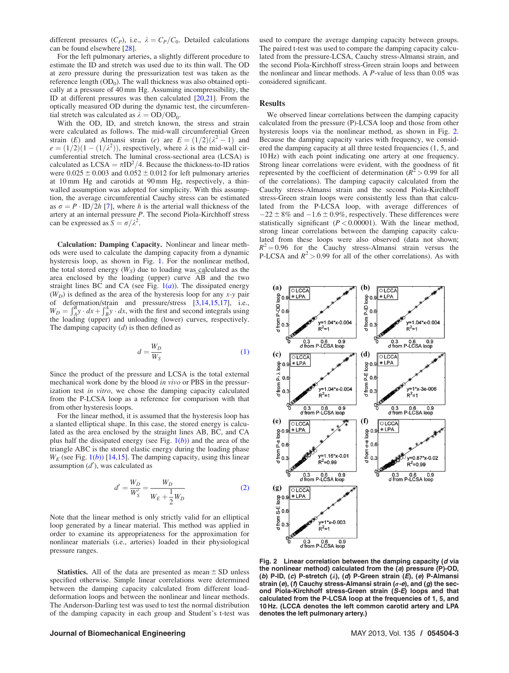<span id="page-2-0"></span>different pressures  $(C_P)$ , i.e.,  $\lambda = C_P/C_0$ . Detailed calculations can be found elsewhere [\[28](#page-5-0)].

For the left pulmonary arteries, a slightly different procedure to estimate the ID and stretch was used due to its thin wall. The OD at zero pressure during the pressurization test was taken as the reference length  $(OD<sub>0</sub>)$ . The wall thickness was also obtained optically at a pressure of 40 mm Hg. Assuming incompressibility, the ID at different pressures was then calculated [\[20](#page-5-0),[21\]](#page-5-0). From the optically measured OD during the dynamic test, the circumferential stretch was calculated as  $\lambda = OD/OD_0$ .

With the OD, ID, and stretch known, the stress and strain were calculated as follows. The mid-wall circumferential Green strain (E) and Almansi strain (e) are  $E = (1/2)(\lambda^2 - 1)$  and  $e = (1/2)(1 - (1/\lambda^2))$ , respectively, where  $\lambda$  is the mid-wall circumferential stretch. The luminal cross-sectional area (LCSA) is calculated as  $LCSA = \pi ID^2/4$ . Because the thickness-to-ID ratios were  $0.025 \pm 0.003$  and  $0.052 \pm 0.012$  for left pulmonary arteries at 10 mm Hg and carotids at 90 mm Hg, respectively, a thinwalled assumption was adopted for simplicity. With this assumption, the average circumferential Cauchy stress can be estimated as  $\sigma = P \cdot ID/2h$  [[7](#page-5-0)], where h is the arterial wall thickness of the artery at an internal pressure P. The second Piola-Kirchhoff stress can be expressed as  $\dot{S} = \sigma / \lambda^2$ .

Calculation: Damping Capacity. Nonlinear and linear methods were used to calculate the damping capacity from a dynamic hysteresis loop, as shown in Fig. [1.](#page-1-0) For the nonlinear method, the total stored energy  $(W_S)$  due to loading was calculated as the area enclosed by the loading (upper) curve  $\overrightarrow{AB}$  and the two straight lines BC and CA (see Fig.  $1(a)$  $1(a)$ ). The dissipated energy  $(W_D)$  is defined as the area of the hysteresis loop for any x-y pair of deformation/strain and pressure/stress [\[3,14,15,17](#page-5-0)], i.e.,  $W_D = \int_A^B y \cdot dx + \int_B^A y \cdot dx$ , with the first and second integrals using the loading (upper) and unloading (lower) curves, respectively. The damping capacity  $(d)$  is then defined as

$$
d = \frac{W_D}{W_S} \tag{1}
$$

Since the product of the pressure and LCSA is the total external mechanical work done by the blood in vivo or PBS in the pressurization test in vitro, we chose the damping capacity calculated from the P-LCSA loop as a reference for comparison with that from other hysteresis loops.

For the linear method, it is assumed that the hysteresis loop has a slanted elliptical shape. In this case, the stored energy is calculated as the area enclosed by the straight lines AB, BC, and CA plus half the dissipated energy (see Fig.  $1(b)$  $1(b)$ ) and the area of the triangle ABC is the stored elastic energy during the loading phase  $W_E$  (see Fig. [1\(](#page-1-0)b)) [\[14,15](#page-5-0)]. The damping capacity, using this linear assumption  $(d')$ , was calculated as

$$
d' = \frac{W_D}{W_S'} = \frac{W_D}{W_E + \frac{1}{2}W_D}
$$
 (2)

Note that the linear method is only strictly valid for an elliptical loop generated by a linear material. This method was applied in order to examine its appropriateness for the approximation for nonlinear materials (i.e., arteries) loaded in their physiological pressure ranges.

**Statistics.** All of the data are presented as mean  $\pm$  SD unless specified otherwise. Simple linear correlations were determined between the damping capacity calculated from different loaddeformation loops and between the nonlinear and linear methods. The Anderson-Darling test was used to test the normal distribution of the damping capacity in each group and Student's t-test was used to compare the average damping capacity between groups. The paired t-test was used to compare the damping capacity calculated from the pressure-LCSA, Cauchy stress-Almansi strain, and the second Piola-Kirchhoff stress-Green strain loops and between the nonlinear and linear methods. A P-value of less than 0.05 was considered significant.

## Results

We observed linear correlations between the damping capacity calculated from the pressure (P)-LCSA loop and those from other hysteresis loops via the nonlinear method, as shown in Fig. 2. Because the damping capacity varies with frequency, we considered the damping capacity at all three tested frequencies (1, 5, and 10 Hz) with each point indicating one artery at one frequency. Strong linear correlations were evident, with the goodness of fit represented by the coefficient of determination ( $R^2 > 0.99$  for all of the correlations). The damping capacity calculated from the Cauchy stress-Almansi strain and the second Piola-Kirchhoff stress-Green strain loops were consistently less than that calculated from the P-LCSA loop, with average differences of  $-22 \pm 8\%$  and  $-1.6 \pm 0.9\%$ , respectively. These differences were statistically significant ( $P < 0.00001$ ). With the linear method, strong linear correlations between the damping capacity calculated from these loops were also observed (data not shown;  $R^2 = 0.96$  for the Cauchy stress-Almansi strain versus the P-LCSA and  $R^2 > 0.99$  for all of the other correlations). As with



Fig. 2 Linear correlation between the damping capacity (d via the nonlinear method) calculated from the (a) pressure (P)-OD, (b) P-ID, (c) P-stretch  $(\lambda)$ , (d) P-Green strain  $(E)$ , (e) P-Almansi strain (e), (f) Cauchy stress-Almansi strain ( $\sigma$ -e), and (g) the second Piola-Kirchhoff stress-Green strain (S-E) loops and that calculated from the P-LCSA loop at the frequencies of 1, 5, and 10 Hz. (LCCA denotes the left common carotid artery and LPA denotes the left pulmonary artery.)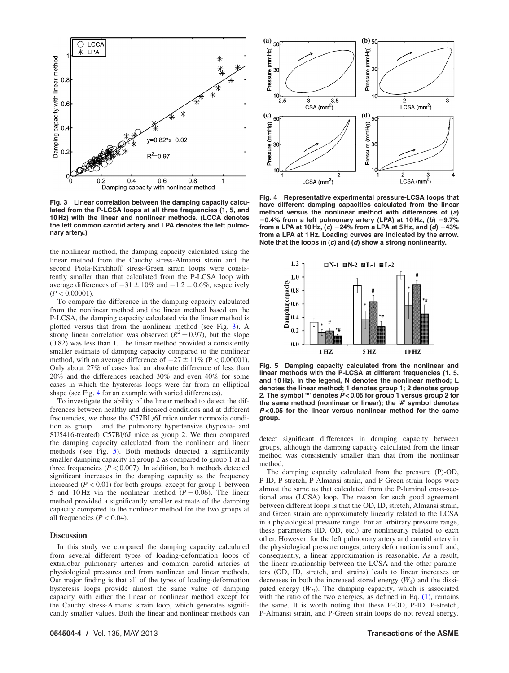<span id="page-3-0"></span>

Fig. 3 Linear correlation between the damping capacity calculated from the P-LCSA loops at all three frequencies (1, 5, and 10 Hz) with the linear and nonlinear methods. (LCCA denotes the left common carotid artery and LPA denotes the left pulmonary artery.)

the nonlinear method, the damping capacity calculated using the linear method from the Cauchy stress-Almansi strain and the second Piola-Kirchhoff stress-Green strain loops were consistently smaller than that calculated from the P-LCSA loop with average differences of  $-31 \pm 10\%$  and  $-1.2 \pm 0.6\%$ , respectively  $(P < 0.00001)$ .

To compare the difference in the damping capacity calculated from the nonlinear method and the linear method based on the P-LCSA, the damping capacity calculated via the linear method is plotted versus that from the nonlinear method (see Fig. 3). A strong linear correlation was observed ( $R^2 = 0.97$ ), but the slope (0.82) was less than 1. The linear method provided a consistently smaller estimate of damping capacity compared to the nonlinear method, with an average difference of  $-27 \pm 11\%$  (P < 0.00001). Only about 27% of cases had an absolute difference of less than 20% and the differences reached 30% and even 40% for some cases in which the hysteresis loops were far from an elliptical shape (see Fig. 4 for an example with varied differences).

To investigate the ability of the linear method to detect the differences between healthy and diseased conditions and at different frequencies, we chose the C57BL/6J mice under normoxia condition as group 1 and the pulmonary hypertensive (hypoxia- and SU5416-treated) C57Bl/6J mice as group 2. We then compared the damping capacity calculated from the nonlinear and linear methods (see Fig. 5). Both methods detected a significantly smaller damping capacity in group 2 as compared to group 1 at all three frequencies ( $P < 0.007$ ). In addition, both methods detected significant increases in the damping capacity as the frequency increased  $(P < 0.01)$  for both groups, except for group 1 between 5 and 10 Hz via the nonlinear method ( $P = 0.06$ ). The linear method provided a significantly smaller estimate of the damping capacity compared to the nonlinear method for the two groups at all frequencies ( $P < 0.04$ ).

### **Discussion**

In this study we compared the damping capacity calculated from several different types of loading-deformation loops of extralobar pulmonary arteries and common carotid arteries at physiological pressures and from nonlinear and linear methods. Our major finding is that all of the types of loading-deformation hysteresis loops provide almost the same value of damping capacity with either the linear or nonlinear method except for the Cauchy stress-Almansi strain loop, which generates significantly smaller values. Both the linear and nonlinear methods can



Fig. 4 Representative experimental pressure-LCSA loops that have different damping capacities calculated from the linear method versus the nonlinear method with differences of (a)  $20.4\%$  from a left pulmonary artery (LPA) at 10 Hz, (b)  $-9.7\%$ from a LPA at 10 Hz, (c) -24% from a LPA at 5 Hz, and  $(d)$  -43% from a LPA at 1 Hz. Loading curves are indicated by the arrow. Note that the loops in  $(c)$  and  $(d)$  show a strong nonlinearity.



Fig. 5 Damping capacity calculated from the nonlinear and linear methods with the P-LCSA at different frequencies (1, 5, and 10 Hz). In the legend, N denotes the nonlinear method; L denotes the linear method; 1 denotes group 1; 2 denotes group 2. The symbol  $4$  denotes  $P < 0.05$  for group 1 versus group 2 for the same method (nonlinear or linear); the '#' symbol denotes  $P < 0.05$  for the linear versus nonlinear method for the same group.

detect significant differences in damping capacity between groups, although the damping capacity calculated from the linear method was consistently smaller than that from the nonlinear method.

The damping capacity calculated from the pressure (P)-OD, P-ID, P-stretch, P-Almansi strain, and P-Green strain loops were almost the same as that calculated from the P-luminal cross-sectional area (LCSA) loop. The reason for such good agreement between different loops is that the OD, ID, stretch, Almansi strain, and Green strain are approximately linearly related to the LCSA in a physiological pressure range. For an arbitrary pressure range, these parameters (ID, OD, etc.) are nonlinearly related to each other. However, for the left pulmonary artery and carotid artery in the physiological pressure ranges, artery deformation is small and, consequently, a linear approximation is reasonable. As a result, the linear relationship between the LCSA and the other parameters (OD, ID, stretch, and strains) leads to linear increases or decreases in both the increased stored energy  $(W<sub>S</sub>)$  and the dissipated energy  $(W_D)$ . The damping capacity, which is associated with the ratio of the two energies, as defined in Eq.  $(1)$ , remains the same. It is worth noting that these P-OD, P-ID, P-stretch, P-Almansi strain, and P-Green strain loops do not reveal energy.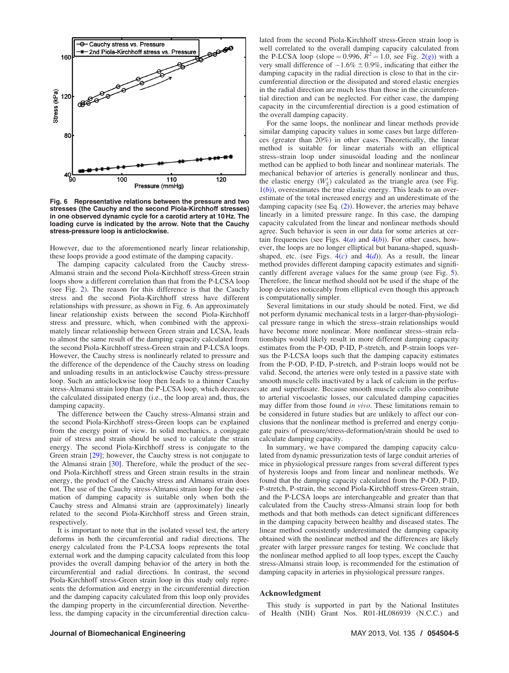

Fig. 6 Representative relations between the pressure and two stresses (the Cauchy and the second Piola-Kirchhoff stresses) in one observed dynamic cycle for a carotid artery at 10 Hz. The loading curve is indicated by the arrow. Note that the Cauchy stress-pressure loop is anticlockwise.

However, due to the aforementioned nearly linear relationship, these loops provide a good estimate of the damping capacity.

The damping capacity calculated from the Cauchy stress-Almansi strain and the second Piola-Kirchhoff stress-Green strain loops show a different correlation than that from the P-LCSA loop (see Fig. [2\)](#page-2-0). The reason for this difference is that the Cauchy stress and the second Piola-Kirchhoff stress have different relationships with pressure, as shown in Fig. 6. An approximately linear relationship exists between the second Piola-Kirchhoff stress and pressure, which, when combined with the approximately linear relationship between Green strain and LCSA, leads to almost the same result of the damping capacity calculated from the second Piola-Kirchhoff stress-Green strain and P-LCSA loops. However, the Cauchy stress is nonlinearly related to pressure and the difference of the dependence of the Cauchy stress on loading and unloading results in an anticlockwise Cauchy stress-pressure loop. Such an anticlockwise loop then leads to a thinner Cauchy stress-Almansi strain loop than the P-LCSA loop, which decreases the calculated dissipated energy (i.e., the loop area) and, thus, the damping capacity.

The difference between the Cauchy stress-Almansi strain and the second Piola-Kirchhoff stress-Green loops can be explained from the energy point of view. In solid mechanics, a conjugate pair of stress and strain should be used to calculate the strain energy. The second Piola-Kirchhoff stress is conjugate to the Green strain [[29\]](#page-5-0); however, the Cauchy stress is not conjugate to the Almansi strain [\[30](#page-5-0)]. Therefore, while the product of the second Piola-Kirchhoff stress and Green strain results in the strain energy, the product of the Cauchy stress and Almansi strain does not. The use of the Cauchy stress-Almansi strain loop for the estimation of damping capacity is suitable only when both the Cauchy stress and Almansi strain are (approximately) linearly related to the second Piola-Kirchhoff stress and Green strain, respectively.

It is important to note that in the isolated vessel test, the artery deforms in both the circumferential and radial directions. The energy calculated from the P-LCSA loops represents the total external work and the damping capacity calculated from this loop provides the overall damping behavior of the artery in both the circumferential and radial directions. In contrast, the second Piola-Kirchhoff stress-Green strain loop in this study only represents the deformation and energy in the circumferential direction and the damping capacity calculated from this loop only provides the damping property in the circumferential direction. Nevertheless, the damping capacity in the circumferential direction calculated from the second Piola-Kirchhoff stress-Green strain loop is well correlated to the overall damping capacity calculated from the P-LCSA loop (slope = 0.996,  $R^2 = 1.0$ , see Fig. [2\(](#page-2-0)g)) with a very small difference of  $-1.6\% \pm 0.9\%$ , indicating that either the damping capacity in the radial direction is close to that in the circumferential direction or the dissipated and stored elastic energies in the radial direction are much less than those in the circumferential direction and can be neglected. For either case, the damping capacity in the circumferential direction is a good estimation of the overall damping capacity.

For the same loops, the nonlinear and linear methods provide similar damping capacity values in some cases but large differences (greater than 20%) in other cases. Theoretically, the linear method is suitable for linear materials with an elliptical stress–strain loop under sinusoidal loading and the nonlinear method can be applied to both linear and nonlinear materials. The mechanical behavior of arteries is generally nonlinear and thus, the elastic energy  $(W'_S)$  calculated as the triangle area (see Fig.  $1(b)$  $1(b)$ ), overestimates the true elastic energy. This leads to an overestimate of the total increased energy and an underestimate of the damping capacity (see Eq.  $(2)$ ). However, the arteries may behave linearly in a limited pressure range. In this case, the damping capacity calculated from the linear and nonlinear methods should agree. Such behavior is seen in our data for some arteries at certain frequencies (see Figs.  $4(a)$  $4(a)$  and  $4(b)$ ). For other cases, however, the loops are no longer elliptical but banana-shaped, squashshaped, etc. (see Figs.  $4(c)$  $4(c)$  and  $4(d)$ ). As a result, the linear method provides different damping capacity estimates and significantly different average values for the same group (see Fig. [5\)](#page-3-0). Therefore, the linear method should not be used if the shape of the loop deviates noticeably from elliptical even though this approach is computationally simpler.

Several limitations in our study should be noted. First, we did not perform dynamic mechanical tests in a larger-than-physiological pressure range in which the stress–strain relationships would have become more nonlinear. More nonlinear stress–strain relationships would likely result in more different damping capacity estimates from the P-OD, P-ID, P-stretch, and P-strain loops versus the P-LCSA loops such that the damping capacity estimates from the P-OD, P-ID, P-stretch, and P-strain loops would not be valid. Second, the arteries were only tested in a passive state with smooth muscle cells inactivated by a lack of calcium in the perfusate and superfusate. Because smooth muscle cells also contribute to arterial viscoelastic losses, our calculated damping capacities may differ from those found in vivo. These limitations remain to be considered in future studies but are unlikely to affect our conclusions that the nonlinear method is preferred and energy conjugate pairs of pressure/stress-deformation/strain should be used to calculate damping capacity.

In summary, we have compared the damping capacity calculated from dynamic pressurization tests of large conduit arteries of mice in physiological pressure ranges from several different types of hysteresis loops and from linear and nonlinear methods. We found that the damping capacity calculated from the P-OD, P-ID, P-stretch, P-strain, the second Piola-Kirchhoff stress-Green strain, and the P-LCSA loops are interchangeable and greater than that calculated from the Cauchy stress-Almansi strain loop for both methods and that both methods can detect significant differences in the damping capacity between healthy and diseased states. The linear method consistently underestimated the damping capacity obtained with the nonlinear method and the differences are likely greater with larger pressure ranges for testing. We conclude that the nonlinear method applied to all loop types, except the Cauchy stress-Almansi strain loop, is recommended for the estimation of damping capacity in arteries in physiological pressure ranges.

## Acknowledgment

This study is supported in part by the National Institutes of Health (NIH) Grant Nos. R01-HL086939 (N.C.C.) and